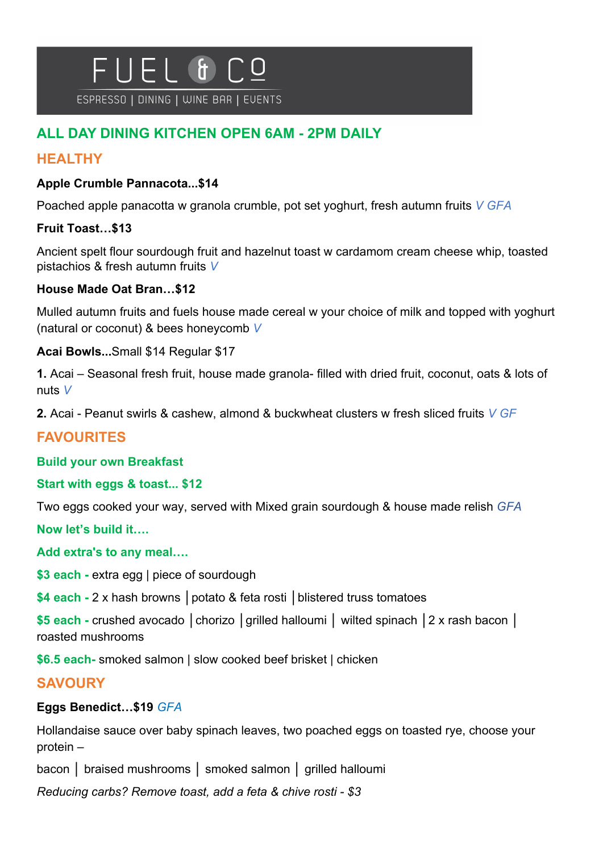# $F1$  &  $\mathbf{\mathbf{\mathsf{H}}}$

ESPRESSO | DINING | WINE BAR | EUENTS

# **ALL DAY DINING KITCHEN OPEN 6AM - 2PM DAILY**

# **HEALTHY**

## **Apple Crumble Pannacota...\$14**

Poached apple panacotta w granola crumble, pot set yoghurt, fresh autumn fruits *V GFA*

## **Fruit Toast…\$13**

Ancient spelt flour sourdough fruit and hazelnut toast w cardamom cream cheese whip, toasted pistachios & fresh autumn fruits *V*

## **House Made Oat Bran…\$12**

Mulled autumn fruits and fuels house made cereal w your choice of milk and topped with yoghurt (natural or coconut) & bees honeycomb *V*

**Acai Bowls...**Small \$14 Regular \$17

**1.** Acai – Seasonal fresh fruit, house made granola- filled with dried fruit, coconut, oats & lots of nuts *V*

**2.** Acai - Peanut swirls & cashew, almond & buckwheat clusters w fresh sliced fruits *V GF*

# **FAVOURITES**

#### **Build your own Breakfast**

#### **Start with eggs & toast... \$12**

Two eggs cooked your way, served with Mixed grain sourdough & house made relish *GFA*

**Now let's build it….** 

**Add extra's to any meal….**

**\$3 each -** extra egg | piece of sourdough

**\$4 each -** 2 x hash browns **│**potato & feta rosti **│**blistered truss tomatoes

**\$5 each -** crushed avocado **│**chorizo **│**grilled halloumi **│** wilted spinach **│**2 x rash bacon **│**  roasted mushrooms

**\$6.5 each-** smoked salmon | slow cooked beef brisket | chicken

# **SAVOURY**

## **Eggs Benedict…\$19** *GFA*

Hollandaise sauce over baby spinach leaves, two poached eggs on toasted rye, choose your protein –

bacon **│** braised mushrooms **│** smoked salmon **│** grilled halloumi

*Reducing carbs? Remove toast, add a feta & chive rosti - \$3*